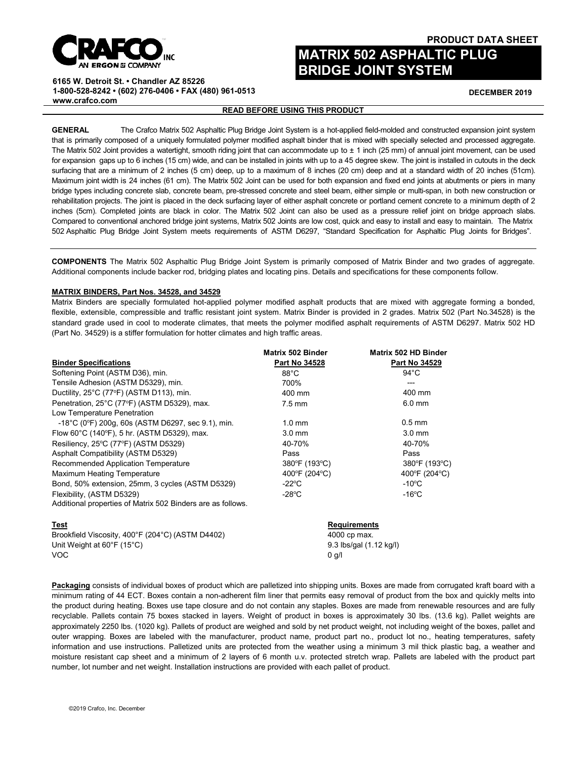

# **PRODUCT DATA SHEET**

**DECEMBER 2019**

# **MATRIX 502 ASPHALTIC PLUG BRIDGE JOINT SYSTEM**

**6165 W. Detroit St. • Chandler AZ 85226 1-800-528-8242 • (602) 276-0406 • FAX (480) 961-0513 [www.crafco.com](http://www.crafco.com/)**

# **READ BEFORE USING THIS PRODUCT**

**GENERAL** The Crafco Matrix 502 Asphaltic Plug Bridge Joint System is a hot-applied field-molded and constructed expansion joint system that is primarily composed of a uniquely formulated polymer modified asphalt binder that is mixed with specially selected and processed aggregate. The Matrix 502 Joint provides a watertight, smooth riding joint that can accommodate up to ± 1 inch (25 mm) of annual joint movement, can be used for expansion gaps up to 6 inches (15 cm) wide, and can be installed in joints with up to a 45 degree skew. The joint is installed in cutouts in the deck surfacing that are a minimum of 2 inches (5 cm) deep, up to a maximum of 8 inches (20 cm) deep and at a standard width of 20 inches (51cm). Maximum joint width is 24 inches (61 cm). The Matrix 502 Joint can be used for both expansion and fixed end joints at abutments or piers in many bridge types including concrete slab, concrete beam, pre-stressed concrete and steel beam, either simple or multi-span, in both new construction or rehabilitation projects. The joint is placed in the deck surfacing layer of either asphalt concrete or portland cement concrete to a minimum depth of 2 inches (5cm). Completed joints are black in color. The Matrix 502 Joint can also be used as a pressure relief joint on bridge approach slabs. Compared to conventional anchored bridge joint systems, Matrix 502 Joints are low cost, quick and easy to install and easy to maintain. The Matrix 502 Asphaltic Plug Bridge Joint System meets requirements of ASTM D6297, "Standard Specification for Asphaltic Plug Joints for Bridges".

**COMPONENTS** The Matrix 502 Asphaltic Plug Bridge Joint System is primarily composed of Matrix Binder and two grades of aggregate. Additional components include backer rod, bridging plates and locating pins. Details and specifications for these components follow.

### **MATRIX BINDERS, Part Nos. 34528, and 34529**

Matrix Binders are specially formulated hot-applied polymer modified asphalt products that are mixed with aggregate forming a bonded, flexible, extensible, compressible and traffic resistant joint system. Matrix Binder is provided in 2 grades. Matrix 502 (Part No.34528) is the standard grade used in cool to moderate climates, that meets the polymer modified asphalt requirements of ASTM D6297. Matrix 502 HD (Part No. 34529) is a stiffer formulation for hotter climates and high traffic areas.

|                                                                            | Matrix 502 Binder    | Matrix 502 HD Binder |
|----------------------------------------------------------------------------|----------------------|----------------------|
| <b>Binder Specifications</b>                                               | <b>Part No 34528</b> | <b>Part No 34529</b> |
| Softening Point (ASTM D36), min.                                           | $88^{\circ}$ C       | $94^{\circ}$ C       |
| Tensile Adhesion (ASTM D5329), min.                                        | 700%                 | ---                  |
| Ductility, 25°C (77°F) (ASTM D113), min.                                   | 400 mm               | 400 mm               |
| Penetration, 25°C (77°F) (ASTM D5329), max.<br>Low Temperature Penetration | $7.5 \text{ mm}$     | $6.0$ mm             |
| $-18^{\circ}$ C (0 $^{\circ}$ F) 200q, 60s (ASTM D6297, sec 9.1), min.     | $1.0 \text{ mm}$     | $0.5$ mm             |
| Flow 60°C (140°F), 5 hr. (ASTM D5329), max.                                | $3.0 \text{ mm}$     | $3.0 \text{ mm}$     |
| Resiliency, 25°C (77°F) (ASTM D5329)                                       | 40-70%               | 40-70%               |
| Asphalt Compatibility (ASTM D5329)                                         | Pass                 | Pass                 |
| Recommended Application Temperature                                        | 380°F (193°C)        | 380°F (193°C)        |
| Maximum Heating Temperature                                                | 400°F (204°C)        | 400°F (204°C)        |
| Bond, 50% extension, 25mm, 3 cycles (ASTM D5329)                           | -22°C                | $-10^{\circ}$ C      |
| Flexibility, (ASTM D5329)                                                  | $-28^{\circ}$ C      | $-16^{\circ}$ C      |
| Additional properties of Matrix 502 Binders are as follows.                |                      |                      |
| <b>Test</b>                                                                | <b>Requirements</b>  |                      |
| Brookfield Viscosity, 400°F (204°C) (ASTM D4402)                           |                      | 4000 cp max.         |

Unit Weight at 60°F (15°C) **9.3** lbs/gal (1.12 kg/l) VOC 0 g/l

**Packaging** consists of individual boxes of product which are palletized into shipping units. Boxes are made from corrugated kraft board with a minimum rating of 44 ECT. Boxes contain a non-adherent film liner that permits easy removal of product from the box and quickly melts into the product during heating. Boxes use tape closure and do not contain any staples. Boxes are made from renewable resources and are fully recyclable. Pallets contain 75 boxes stacked in layers. Weight of product in boxes is approximately 30 lbs. (13.6 kg). Pallet weights are approximately 2250 lbs. (1020 kg). Pallets of product are weighed and sold by net product weight, not including weight of the boxes, pallet and outer wrapping. Boxes are labeled with the manufacturer, product name, product part no., product lot no., heating temperatures, safety information and use instructions. Palletized units are protected from the weather using a minimum 3 mil thick plastic bag, a weather and moisture resistant cap sheet and a minimum of 2 layers of 6 month u.v. protected stretch wrap. Pallets are labeled with the product part number, lot number and net weight. Installation instructions are provided with each pallet of product.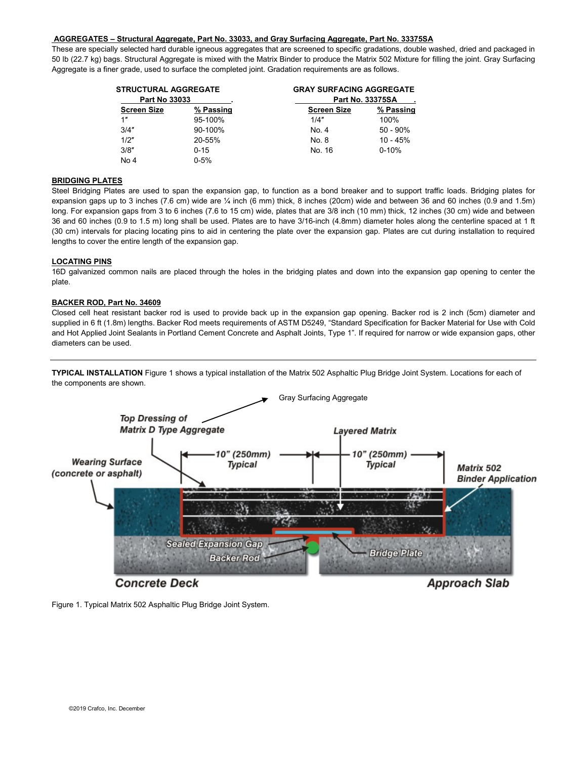## **AGGREGATES – Structural Aggregate, Part No. 33033, and Gray Surfacing Aggregate, Part No. 33375SA**

These are specially selected hard durable igneous aggregates that are screened to specific gradations, double washed, dried and packaged in 50 lb (22.7 kg) bags. Structural Aggregate is mixed with the Matrix Binder to produce the Matrix 502 Mixture for filling the joint. Gray Surfacing Aggregate is a finer grade, used to surface the completed joint. Gradation requirements are as follows.

| <b>STRUCTURAL AGGREGATE</b> |           | <b>GRAY SURFACING AGGREGATE</b> |             |
|-----------------------------|-----------|---------------------------------|-------------|
| <b>Part No 33033</b>        |           | <b>Part No. 33375SA</b>         |             |
| <b>Screen Size</b>          | % Passing | <b>Screen Size</b>              | % Passing   |
| 1"                          | 95-100%   | 1/4"                            | 100%        |
| 3/4"                        | 90-100%   | No. 4                           | $50 - 90\%$ |
| 1/2"                        | 20-55%    | No. 8                           | $10 - 45%$  |
| 3/8"                        | $0 - 15$  | No. 16                          | $0 - 10%$   |
| No 4                        | $0 - 5%$  |                                 |             |

## **BRIDGING PLATES**

Steel Bridging Plates are used to span the expansion gap, to function as a bond breaker and to support traffic loads. Bridging plates for expansion gaps up to 3 inches (7.6 cm) wide are ¼ inch (6 mm) thick, 8 inches (20cm) wide and between 36 and 60 inches (0.9 and 1.5m) long. For expansion gaps from 3 to 6 inches (7.6 to 15 cm) wide, plates that are 3/8 inch (10 mm) thick, 12 inches (30 cm) wide and between 36 and 60 inches (0.9 to 1.5 m) long shall be used. Plates are to have 3/16-inch (4.8mm) diameter holes along the centerline spaced at 1 ft (30 cm) intervals for placing locating pins to aid in centering the plate over the expansion gap. Plates are cut during installation to required lengths to cover the entire length of the expansion gap.

### **LOCATING PINS**

16D galvanized common nails are placed through the holes in the bridging plates and down into the expansion gap opening to center the plate.

### **BACKER ROD, Part No. 34609**

Closed cell heat resistant backer rod is used to provide back up in the expansion gap opening. Backer rod is 2 inch (5cm) diameter and supplied in 6 ft (1.8m) lengths. Backer Rod meets requirements of ASTM D5249, "Standard Specification for Backer Material for Use with Cold and Hot Applied Joint Sealants in Portland Cement Concrete and Asphalt Joints, Type 1". If required for narrow or wide expansion gaps, other diameters can be used.

**TYPICAL INSTALLATION** Figure 1 shows a typical installation of the Matrix 502 Asphaltic Plug Bridge Joint System. Locations for each of the components are shown.



Figure 1. Typical Matrix 502 Asphaltic Plug Bridge Joint System.